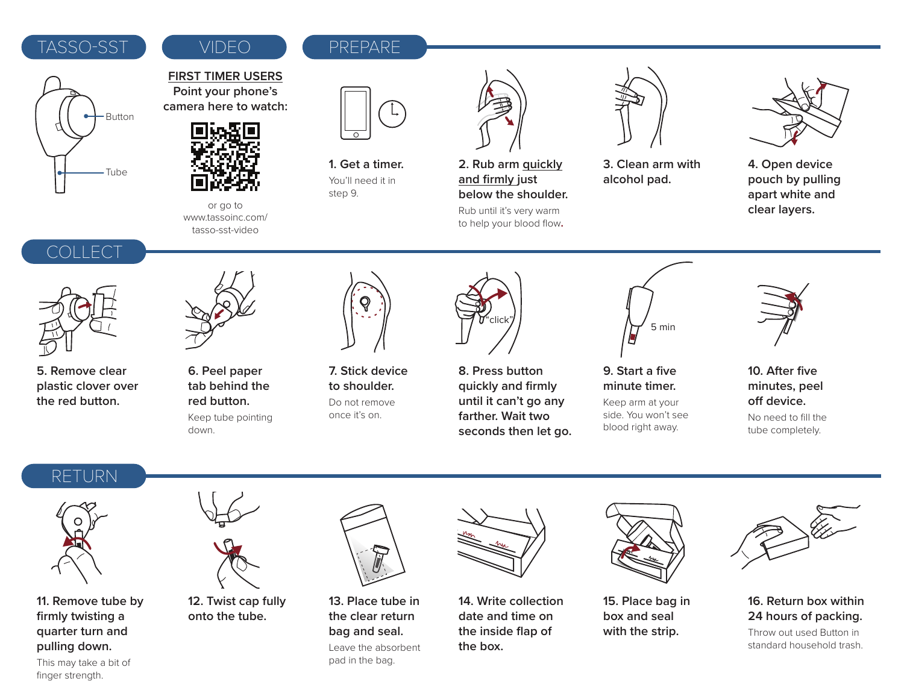### TASSO-SST VIDEO REPARE

## VIDEO



### **FIRST TIMER USERS Point your phone's camera here to watch:**



or go to www.tassoinc.com/ tasso-sst-video



**1. Get a timer.** You'll need it in step 9.



**2. Rub arm quickly and firmly just below the shoulder.**

Rub until it's very warm to help your blood flow**.**



**3. Clean arm with alcohol pad.**



COLLECT



**5. Remove clear plastic clover over the red button.**



**6. Peel paper tab behind the red button.** Keep tube pointing down.



**7. Stick device to shoulder.** Do not remove once it's on.



**8. Press button quickly and firmly until it can't go any farther. Wait two seconds then let go.**



**9. Start a five minute timer.**  Keep arm at your

side. You won't see blood right away.



**10. After five minutes, peel**  off device.

No need to fill the tube completely.

## RETURN



**11. Remove tube by firmly twisting a quarter turn and pulling down.**



**12. Twist cap fully onto the tube.**



**13. Place tube in the clear return bag and seal.**

Leave the absorbent pad in the bag.



**14. Write collection date and time on the inside flap of the box.**



**15. Place bag in box and seal with the strip.**



**16. Return box within 24 hours of packing.**

Throw out used Button in standard household trash.

This may take a bit of finger strength.